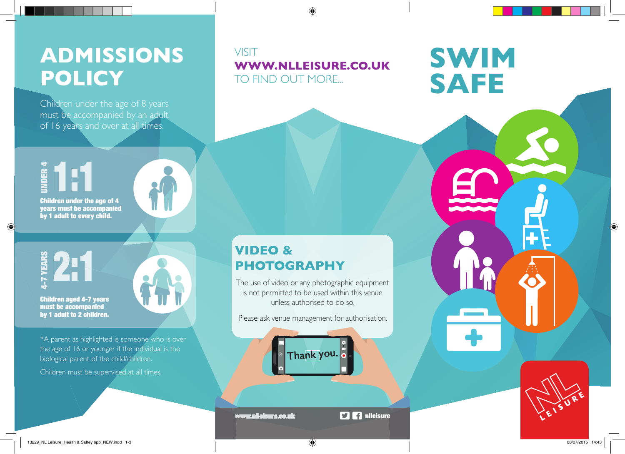## **ADMISSIONS POLICY**

Children under the age of 8 years must be accompanied by an adult of 16 years and over at all times.

#### VISIT **WWW.NLLEISURE.CO.UK**  TO FIND OUT MORE...

 $\bigoplus$ 

UNDER 4 Children under the age of 4 1:1



years must be accompanied by 1 adult to every child.

 $\bigoplus$ 

Children aged 4-7 years must be accompanied **by 1 adult to 2 children.**<br>
by 1 adult to 2 children.



\*A parent as highlighted is someone who is over the age of 16 or younger if the individual is the biological parent of the child/children.

Children must be supervised at all times.

### **VIDEO & PHOTOGRAPHY**

The use of video or any photographic equipment is not permitted to be used within this venue unless authorised to do so.

Please ask venue management for authorisation.

**Thank you.**

www.nlleisure.co.uk 5 9 9 mlleisure



**SWIM** 

**SAFE**

13229\_NL Leisure\_Health & Saftey 6pp\_NEW.indd 1-3 08/07/2015 14:43

 $\bigoplus$